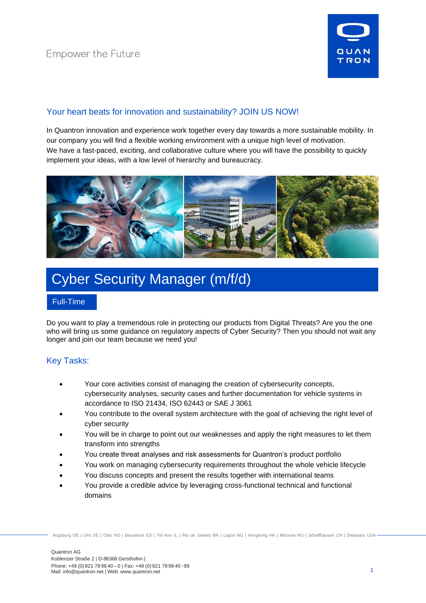

# Your heart beats for innovation and sustainability? JOIN US NOW!

In Quantron innovation and experience work together every day towards a more sustainable mobility. In our company you will find a flexible working environment with a unique high level of motivation. We have a fast-paced, exciting, and collaborative culture where you will have the possibility to quickly implement your ideas, with a low level of hierarchy and bureaucracy.



# Cyber Security Manager (m/f/d)

#### Full-Time

Do you want to play a tremendous role in protecting our products from Digital Threats? Are you the one who will bring us some guidance on regulatory aspects of Cyber Security? Then you should not wait any longer and join our team because we need you!

## Key Tasks:

- Your core activities consist of managing the creation of cybersecurity concepts, cybersecurity analyses, security cases and further documentation for vehicle systems in accordance to ISO 21434, ISO 62443 or SAE J 3061
- You contribute to the overall system architecture with the goal of achieving the right level of cyber security
- You will be in charge to point out our weaknesses and apply the right measures to let them transform into strengths
- You create threat analyses and risk assessments for Quantron's product portfolio
- You work on managing cybersecurity requirements throughout the whole vehicle lifecycle
- You discuss concepts and present the results together with international teams
- You provide a credible advice by leveraging cross-functional technical and functional domains

Augsburg DE | Ulm DE | Oslo NO | Barcelona ES | Tel Aviv IL | Rio de Janeiro BR | Lagos NG | Hongkong HK | Moscow RU | Schaffhausen CH | Delaware USA